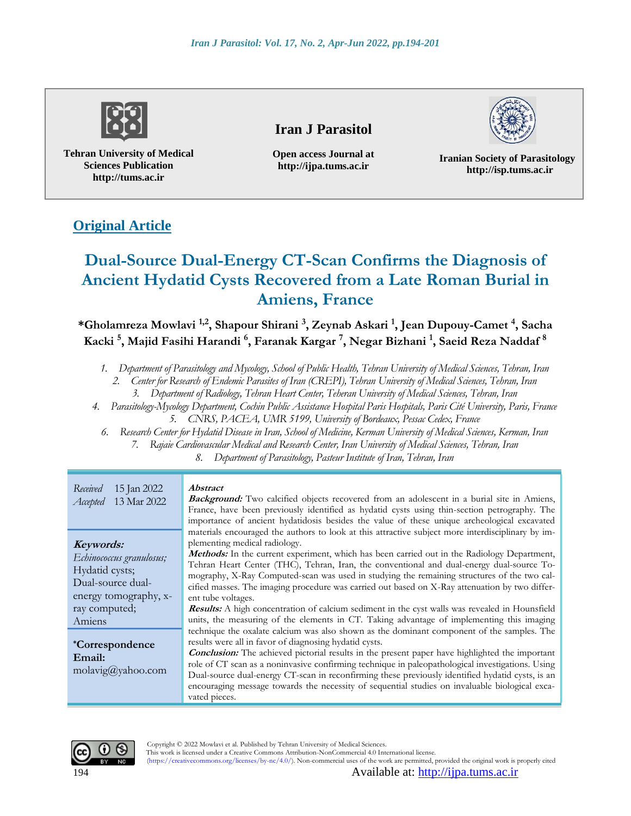

**Tehran University of Medical Sciences Publication http://tums.ac.ir**

# **Iran J Parasitol**

**Open access Journal at http://ijpa.tums.ac.ir**

**Iranian Society of Parasitology http://isp.tums.ac.ir**

# **Original Article**

# **Dual-Source Dual-Energy CT-Scan Confirms the Diagnosis of Ancient Hydatid Cysts Recovered from a Late Roman Burial in Amiens, France**

**\*Gholamreza Mowlavi 1,2, Shapour Shirani <sup>3</sup> , Zeynab Askari <sup>1</sup> , Jean Dupouy-Camet <sup>4</sup> , Sacha Kacki <sup>5</sup> , Majid Fasihi Harandi <sup>6</sup> , Faranak Kargar <sup>7</sup> , Negar Bizhani <sup>1</sup> , Saeid Reza Naddaf <sup>8</sup>**

- *1. Department of Parasitology and Mycology, School of Public Health, Tehran University of Medical Sciences, Tehran, Iran*
	- *2. Center for Research of Endemic Parasites of Iran (CREPI), Tehran University of Medical Sciences, Tehran, Iran*
		- *3. Department of Radiology, Tehran Heart Center, Teheran University of Medical Sciences, Tehran, Iran*
- *4. Parasitology-Mycology Department, Cochin Public Assistance Hospital Paris Hospitals, Paris Cité University, Paris, France 5. CNRS, PACEA, UMR 5199, University of Bordeaux, Pessac Cedex, France*
	- *6. Research Center for Hydatid Disease in Iran, School of Medicine, Kerman University of Medical Sciences, Kerman, Iran* 
		- *7. Rajaie Cardiovascular Medical and Research Center, Iran University of Medical Sciences, Tehran, Iran*

*8. Department of Parasitology, Pasteur Institute of Iran, Tehran, Iran*

| Received<br>15 Jan 2022<br>13 Mar 2022<br>Accepted                                                                               | <i><b>Abstract</b></i><br><b>Background:</b> Two calcified objects recovered from an adolescent in a burial site in Amiens,<br>France, have been previously identified as hydatid cysts using thin-section petrography. The<br>importance of ancient hydatidosis besides the value of these unique archeological excavated                                                                                                                                                                                                                                                                                                                                                                                                                                  |
|----------------------------------------------------------------------------------------------------------------------------------|-------------------------------------------------------------------------------------------------------------------------------------------------------------------------------------------------------------------------------------------------------------------------------------------------------------------------------------------------------------------------------------------------------------------------------------------------------------------------------------------------------------------------------------------------------------------------------------------------------------------------------------------------------------------------------------------------------------------------------------------------------------|
| Keywords:<br>Echinococcus granulosus;<br>Hydatid cysts;<br>Dual-source dual-<br>energy tomography, x-<br>ray computed;<br>Amiens | materials encouraged the authors to look at this attractive subject more interdisciplinary by im-<br>plementing medical radiology.<br>Methods: In the current experiment, which has been carried out in the Radiology Department,<br>Tehran Heart Center (THC), Tehran, Iran, the conventional and dual-energy dual-source To-<br>mography, X-Ray Computed-scan was used in studying the remaining structures of the two cal-<br>cified masses. The imaging procedure was carried out based on X-Ray attenuation by two differ-<br>ent tube voltages.<br><b>Results:</b> A high concentration of calcium sediment in the cyst walls was revealed in Hounsfield<br>units, the measuring of the elements in CT. Taking advantage of implementing this imaging |
| <i>*Correspondence</i><br>Email:<br>$molavig(\hat{a})$ yahoo.com                                                                 | technique the oxalate calcium was also shown as the dominant component of the samples. The<br>results were all in favor of diagnosing hydatid cysts.<br><b>Conclusion:</b> The achieved pictorial results in the present paper have highlighted the important<br>role of CT scan as a noninvasive confirming technique in paleopathological investigations. Using<br>Dual-source dual-energy CT-scan in reconfirming these previously identified hydatid cysts, is an<br>encouraging message towards the necessity of sequential studies on invaluable biological exca-<br>vated pieces.                                                                                                                                                                    |



Copyright © 2022 Mowlavi et al. Published by Tehran University of Medical Sciences.

This work is licensed under a Creative Commons Attribution-NonCommercial 4.0 International license. (https://creativecommons.org/licenses/by-nc/4.0/). Non-commercial uses of the work are permitted, provided the original work is properly cited

194 Available at: [http://ijpa.tums.ac.ir](http://ijpa.tums.ac.ir/)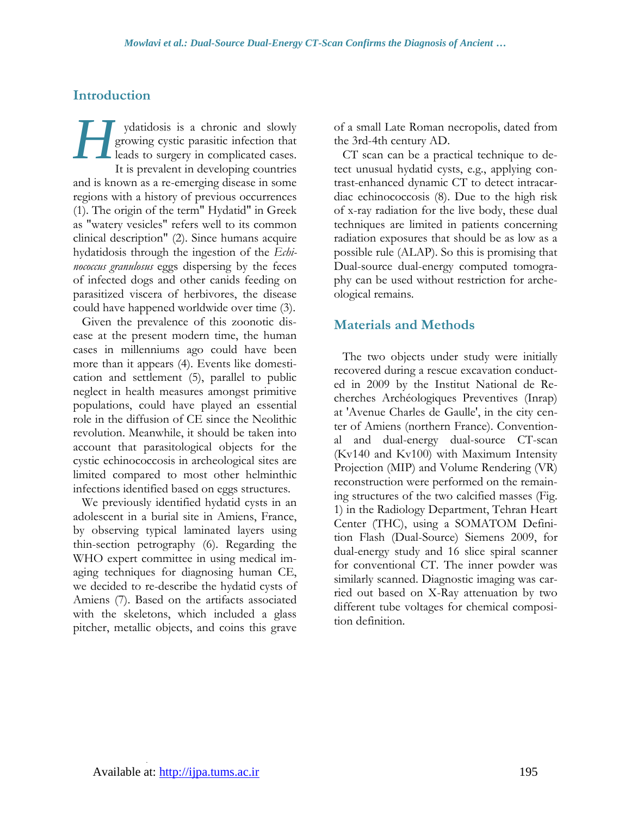# **Introduction**

ydatidosis is a chronic and slowly growing cystic parasitic infection that leads to surgery in complicated cases. It is prevalent in developing countries and is known as a re-emerging disease in some regions with a history of previous occurrences (1). The origin of the term" Hydatid" in Greek as "watery vesicles" refers well to its common clinical description" (2). Since humans acquire hydatidosis through the ingestion of the *Echinococcus granulosus* eggs dispersing by the feces of infected dogs and other canids feeding on parasitized viscera of herbivores, the disease could have happened worldwide over time (3). *H*

Given the prevalence of this zoonotic disease at the present modern time, the human cases in millenniums ago could have been more than it appears (4). Events like domestication and settlement (5), parallel to public neglect in health measures amongst primitive populations, could have played an essential role in the diffusion of CE since the Neolithic revolution. Meanwhile, it should be taken into account that parasitological objects for the cystic echinococcosis in archeological sites are limited compared to most other helminthic infections identified based on eggs structures.

We previously identified hydatid cysts in an adolescent in a burial site in Amiens, France, by observing typical laminated layers using thin-section petrography (6). Regarding the WHO expert committee in using medical imaging techniques for diagnosing human CE, we decided to re-describe the hydatid cysts of Amiens (7). Based on the artifacts associated with the skeletons, which included a glass pitcher, metallic objects, and coins this grave

of a small Late Roman necropolis, dated from the 3rd-4th century AD.

CT scan can be a practical technique to detect unusual hydatid cysts, e.g., applying contrast-enhanced dynamic CT to detect intracardiac echinococcosis (8). Due to the high risk of x-ray radiation for the live body, these dual techniques are limited in patients concerning radiation exposures that should be as low as a possible rule (ALAP). So this is promising that Dual-source dual-energy computed tomography can be used without restriction for archeological remains.

# **Materials and Methods**

The two objects under study were initially recovered during a rescue excavation conducted in 2009 by the Institut National de Recherches Archéologiques Preventives (Inrap) at 'Avenue Charles de Gaulle', in the city center of Amiens (northern France). Conventional and dual-energy dual-source CT-scan (Kv140 and Kv100) with Maximum Intensity Projection (MIP) and Volume Rendering (VR) reconstruction were performed on the remaining structures of the two calcified masses (Fig. 1) in the Radiology Department, Tehran Heart Center (THC), using a SOMATOM Definition Flash (Dual-Source) Siemens 2009, for dual-energy study and 16 slice spiral scanner for conventional CT. The inner powder was similarly scanned. Diagnostic imaging was carried out based on X-Ray attenuation by two different tube voltages for chemical composition definition.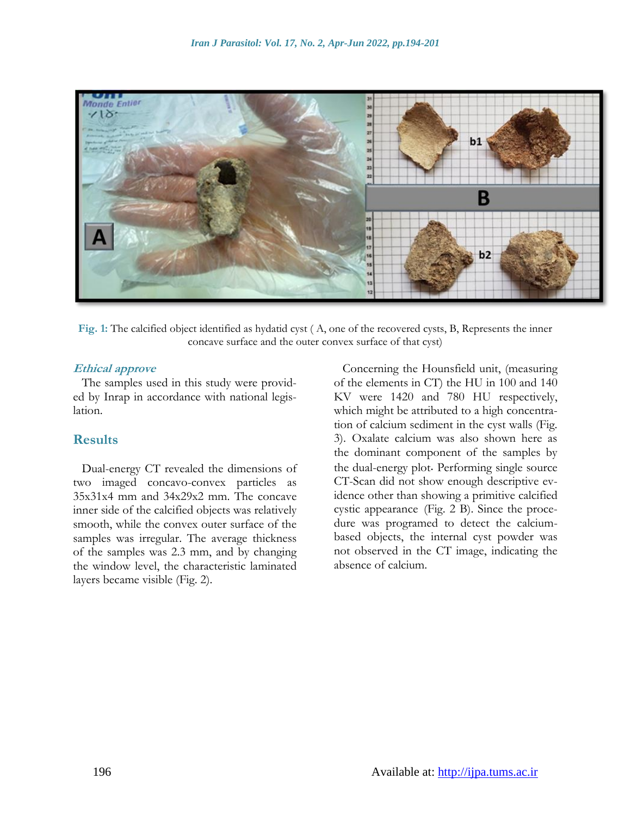

**Fig. 1:** The calcified object identified as hydatid cyst ( A, one of the recovered cysts, B, Represents the inner concave surface and the outer convex surface of that cyst)

#### **Ethical approve**

The samples used in this study were provided by Inrap in accordance with national legislation.

#### **Results**

Dual-energy CT revealed the dimensions of two imaged concavo-convex particles as 35x31x4 mm and 34x29x2 mm. The concave inner side of the calcified objects was relatively smooth, while the convex outer surface of the samples was irregular. The average thickness of the samples was 2.3 mm, and by changing the window level, the characteristic laminated layers became visible (Fig. 2).

Concerning the Hounsfield unit, (measuring of the elements in CT) the HU in 100 and 140 KV were 1420 and 780 HU respectively, which might be attributed to a high concentration of calcium sediment in the cyst walls (Fig. 3). Oxalate calcium was also shown here as the dominant component of the samples by the dual-energy plot. Performing single source CT-Scan did not show enough descriptive evidence other than showing a primitive calcified cystic appearance (Fig. 2 B). Since the procedure was programed to detect the calciumbased objects, the internal cyst powder was not observed in the CT image, indicating the absence of calcium.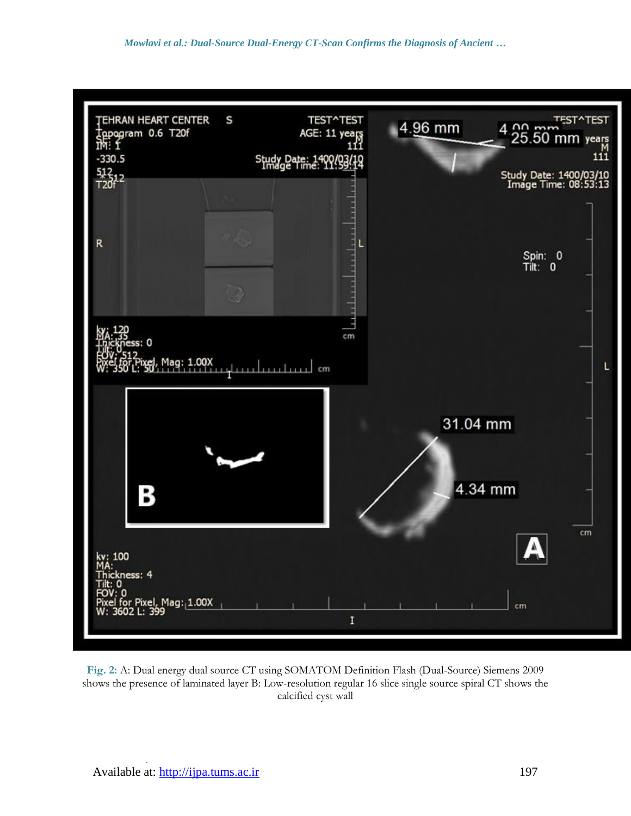

**Fig. 2:** A: Dual energy dual source CT using SOMATOM Definition Flash (Dual-Source) Siemens 2009 shows the presence of laminated layer B: Low-resolution regular 16 slice single source spiral CT shows the calcified cyst wall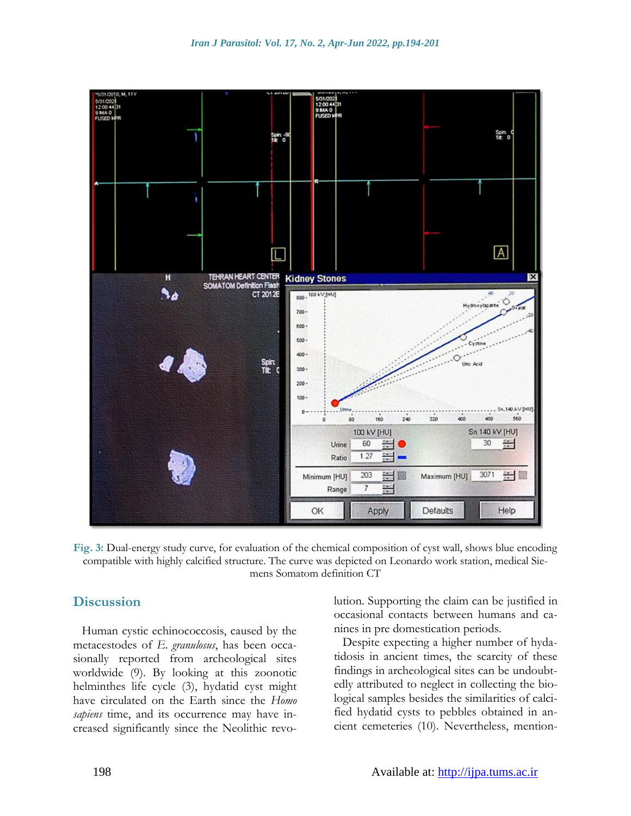

**Fig. 3:** Dual-energy study curve, for evaluation of the chemical composition of cyst wall, shows blue encoding compatible with highly calcified structure. The curve was depicted on Leonardo work station, medical Siemens Somatom definition CT

#### **Discussion**

Human cystic echinococcosis, caused by the metacestodes of *E. granulosus*, has been occasionally reported from archeological sites worldwide (9). By looking at this zoonotic helminthes life cycle (3), hydatid cyst might have circulated on the Earth since the *Homo sapiens* time, and its occurrence may have increased significantly since the Neolithic revolution. Supporting the claim can be justified in occasional contacts between humans and canines in pre domestication periods.

Despite expecting a higher number of hydatidosis in ancient times, the scarcity of these findings in archeological sites can be undoubtedly attributed to neglect in collecting the biological samples besides the similarities of calcified hydatid cysts to pebbles obtained in ancient cemeteries (10). Nevertheless, mention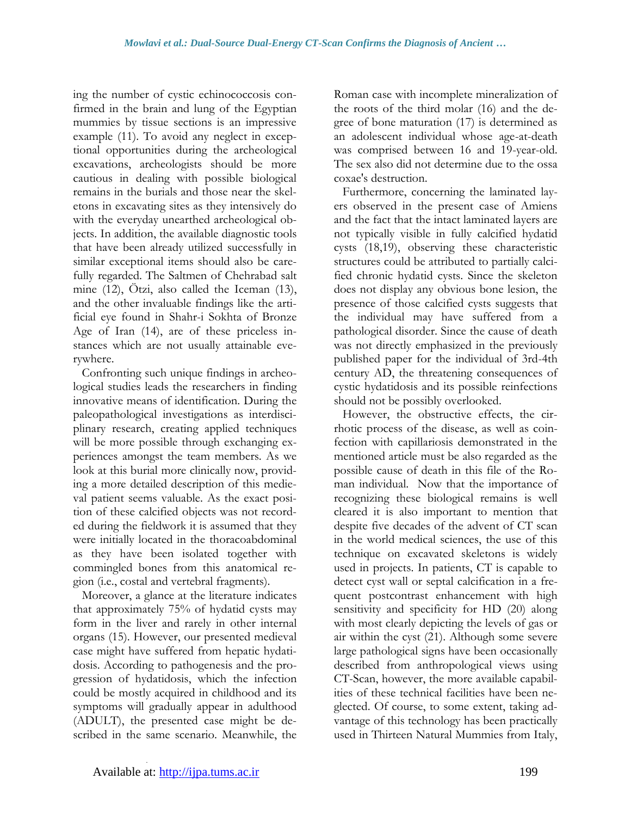ing the number of cystic echinococcosis confirmed in the brain and lung of the Egyptian mummies by tissue sections is an impressive example (11). To avoid any neglect in exceptional opportunities during the archeological excavations, archeologists should be more cautious in dealing with possible biological remains in the burials and those near the skeletons in excavating sites as they intensively do with the everyday unearthed archeological objects. In addition, the available diagnostic tools that have been already utilized successfully in similar exceptional items should also be carefully regarded. The Saltmen of Chehrabad salt mine (12), Ötzi, also called the Iceman (13), and the other invaluable findings like the artificial eye found in Shahr-i Sokhta of Bronze Age of Iran (14), are of these priceless instances which are not usually attainable everywhere.

Confronting such unique findings in archeological studies leads the researchers in finding innovative means of identification. During the paleopathological investigations as interdisciplinary research, creating applied techniques will be more possible through exchanging experiences amongst the team members. As we look at this burial more clinically now, providing a more detailed description of this medieval patient seems valuable. As the exact position of these calcified objects was not recorded during the fieldwork it is assumed that they were initially located in the thoracoabdominal as they have been isolated together with commingled bones from this anatomical region (i.e., costal and vertebral fragments).

Moreover, a glance at the literature indicates that approximately 75% of hydatid cysts may form in the liver and rarely in other internal organs (15). However, our presented medieval case might have suffered from hepatic hydatidosis. According to pathogenesis and the progression of hydatidosis, which the infection could be mostly acquired in childhood and its symptoms will gradually appear in adulthood (ADULT), the presented case might be described in the same scenario. Meanwhile, the Roman case with incomplete mineralization of the roots of the third molar (16) and the degree of bone maturation (17) is determined as an adolescent individual whose age-at-death was comprised between 16 and 19-year-old. The sex also did not determine due to the ossa coxae's destruction.

Furthermore, concerning the laminated layers observed in the present case of Amiens and the fact that the intact laminated layers are not typically visible in fully calcified hydatid cysts (18,19), observing these characteristic structures could be attributed to partially calcified chronic hydatid cysts. Since the skeleton does not display any obvious bone lesion, the presence of those calcified cysts suggests that the individual may have suffered from a pathological disorder. Since the cause of death was not directly emphasized in the previously published paper for the individual of 3rd-4th century AD, the threatening consequences of cystic hydatidosis and its possible reinfections should not be possibly overlooked.

However, the obstructive effects, the cirrhotic process of the disease, as well as coinfection with capillariosis demonstrated in the mentioned article must be also regarded as the possible cause of death in this file of the Roman individual. Now that the importance of recognizing these biological remains is well cleared it is also important to mention that despite five decades of the advent of CT scan in the world medical sciences, the use of this technique on excavated skeletons is widely used in projects. In patients, CT is capable to detect cyst wall or septal calcification in a frequent postcontrast enhancement with high sensitivity and specificity for HD (20) along with most clearly depicting the levels of gas or air within the cyst (21). Although some severe large pathological signs have been occasionally described from anthropological views using CT-Scan, however, the more available capabilities of these technical facilities have been neglected. Of course, to some extent, taking advantage of this technology has been practically used in Thirteen Natural Mummies from Italy,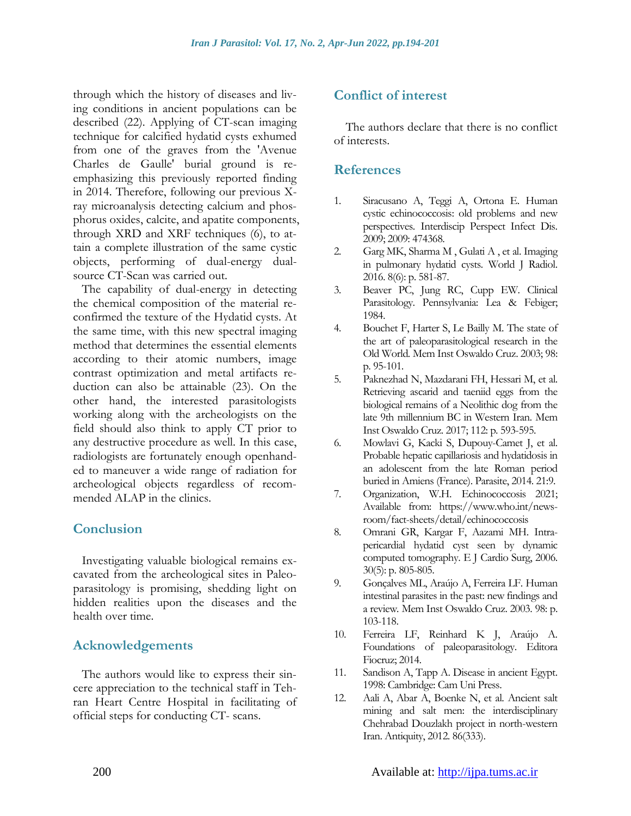through which the history of diseases and living conditions in ancient populations can be described (22). Applying of CT-scan imaging technique for calcified hydatid cysts exhumed from one of the graves from the 'Avenue Charles de Gaulle' burial ground is reemphasizing this previously reported finding in 2014. Therefore, following our previous Xray microanalysis detecting calcium and phosphorus oxides, calcite, and apatite components, through XRD and XRF techniques (6), to attain a complete illustration of the same cystic objects, performing of dual-energy dualsource CT-Scan was carried out.

The capability of dual-energy in detecting the chemical composition of the material reconfirmed the texture of the Hydatid cysts. At the same time, with this new spectral imaging method that determines the essential elements according to their atomic numbers, image contrast optimization and metal artifacts reduction can also be attainable (23). On the other hand, the interested parasitologists working along with the archeologists on the field should also think to apply CT prior to any destructive procedure as well. In this case, radiologists are fortunately enough openhanded to maneuver a wide range of radiation for archeological objects regardless of recommended ALAP in the clinics.

# **Conclusion**

Investigating valuable biological remains excavated from the archeological sites in Paleoparasitology is promising, shedding light on hidden realities upon the diseases and the health over time.

# **Acknowledgements**

The authors would like to express their sincere appreciation to the technical staff in Tehran Heart Centre Hospital in facilitating of official steps for conducting CT- scans.

# **Conflict of interest**

The authors declare that there is no conflict of interests.

#### **References**

- 1. Siracusano A, Teggi A, Ortona E. Human cystic echinococcosis: old problems and new perspectives*.* Interdiscip Perspect Infect Dis. 2009; 2009: 474368.
- 2. Garg MK, Sharm[a M ,](https://scholar.google.com/citations?user=gLO7pEMAAAAJ&hl=en&oi=sra) Gulati [A ,](https://scholar.google.com/citations?user=b9jwLwoAAAAJ&hl=en&oi=sra) et al. Imaging in pulmonary hydatid cysts*.* World J Radiol. 2016. 8(6): p. 581-87.
- 3. Beaver PC, Jung RC, Cupp EW. Clinical Parasitology. Pennsylvania: Lea & Febiger; 1984.
- 4. Bouchet F, Harter S, Le Bailly M. The state of the art of paleoparasitological research in the Old World*.* Mem Inst Oswaldo Cruz. 2003; 98: p. 95-101.
- 5. Paknezhad N, Mazdarani FH, Hessari M, et al. Retrieving ascarid and taeniid eggs from the biological remains of a Neolithic dog from the late 9th millennium BC in Western Iran*.* Mem Inst Oswaldo Cruz. 2017; 112: p. 593-595.
- 6. Mowlavi G, Kacki S, Dupouy-Camet J, et al. Probable hepatic capillariosis and hydatidosis in an adolescent from the late Roman period buried in Amiens (France). Parasite, 2014. 21:9.
- 7. Organization, W.H. Echinococcosis 2021; Available from: [https://www.who.int/news](https://www.who.int/news-room/fact-sheets/detail/echinococcosis)[room/fact-sheets/detail/echinococcosis](https://www.who.int/news-room/fact-sheets/detail/echinococcosis)
- 8. Omrani GR, Kargar F, Aazami MH. Intrapericardial hydatid cyst seen by dynamic computed tomography. E J Cardio Surg, 2006. 30(5): p. 805-805.
- 9. Gonçalves ML, Araújo A, Ferreira LF. Human intestinal parasites in the past: new findings and a review*.* Mem Inst Oswaldo Cruz. 2003. 98: p. 103-118.
- 10. Ferreira LF, Reinhard K J, Araújo A. Foundations of paleoparasitology. Editora Fiocruz; 2014.
- 11. Sandison A, Tapp A. Disease in ancient Egypt. 1998: Cambridge: Cam Uni Press.
- 12. Aali A, Abar A, Boenke N, et al. Ancient salt mining and salt men: the interdisciplinary Chehrabad Douzlakh project in north-western Iran. Antiquity, 2012. 86(333).